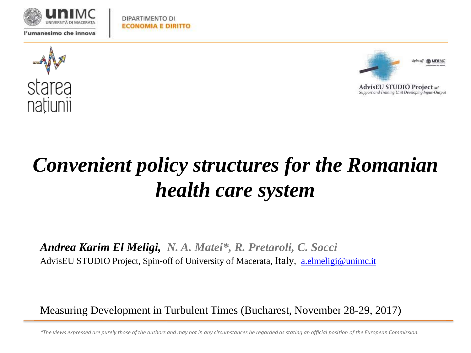

DIPARTIMENTO DI **ECONOMIA E DIRITTO** 





**AdvisEU STUDIO Project srt** Support and Training Unit Developing Input-Output

# *Convenient policy structures for the Romanian health care system*

*Andrea Karim El Meligi, N. A. Matei\*, R. Pretaroli, C. Socci* AdvisEU STUDIO Project, Spin-off of University of Macerata, Italy, [a.elmeligi@unimc.it](mailto:a.elmeligi@unimc.it)

Measuring Development in Turbulent Times (Bucharest, November 28-29, 2017)

*\*The views expressed are purely those of the authors and may not in any circumstances be regarded as stating an official position of the European Commission.*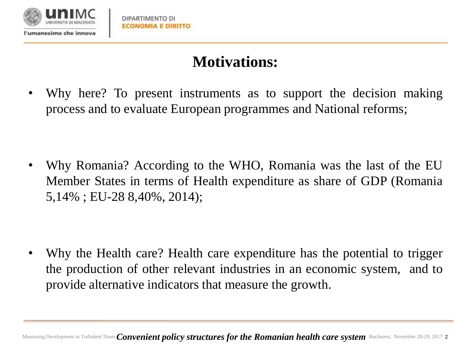

## **Motivations:**

• Why here? To present instruments as to support the decision making process and to evaluate European programmes and National reforms;

• Why Romania? According to the WHO, Romania was the last of the EU Member States in terms of Health expenditure as share of GDP (Romania 5,14% ; EU-28 8,40%, 2014);

• Why the Health care? Health care expenditure has the potential to trigger the production of other relevant industries in an economic system, and to provide alternative indicators that measure the growth.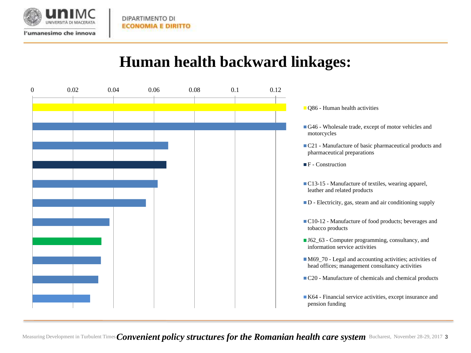

l'umanesimo che innova

### **Human health backward linkages:**

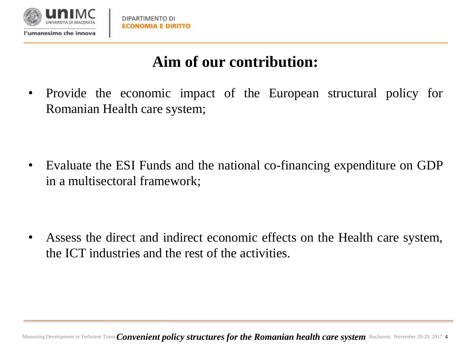

## **Aim of our contribution:**

• Provide the economic impact of the European structural policy for Romanian Health care system;

• Evaluate the ESI Funds and the national co-financing expenditure on GDP in a multisectoral framework;

• Assess the direct and indirect economic effects on the Health care system, the ICT industries and the rest of the activities.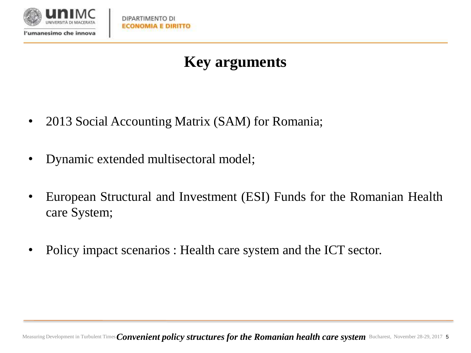

## **Key arguments**

- 2013 Social Accounting Matrix (SAM) for Romania;
- Dynamic extended multisectoral model;
- European Structural and Investment (ESI) Funds for the Romanian Health care System;
- Policy impact scenarios : Health care system and the ICT sector.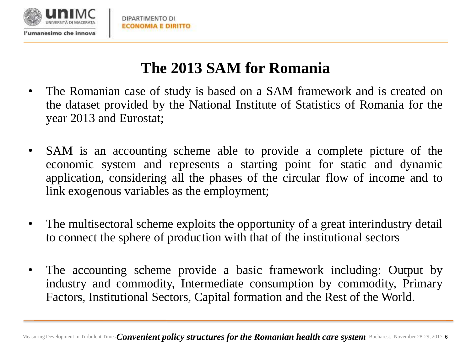

## **The 2013 SAM for Romania**

- The Romanian case of study is based on a SAM framework and is created on the dataset provided by the National Institute of Statistics of Romania for the year 2013 and Eurostat;
- SAM is an accounting scheme able to provide a complete picture of the economic system and represents a starting point for static and dynamic application, considering all the phases of the circular flow of income and to link exogenous variables as the employment;
- The multisectoral scheme exploits the opportunity of a great interindustry detail to connect the sphere of production with that of the institutional sectors
- The accounting scheme provide a basic framework including: Output by industry and commodity, Intermediate consumption by commodity, Primary Factors, Institutional Sectors, Capital formation and the Rest of the World.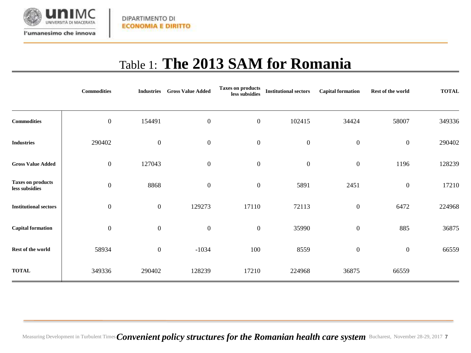

l'umanesimo che innova

DIPARTIMENTO DI **ECONOMIA E DIRITTO** 

## Table 1: **The 2013 SAM for Romania**

|                                            | <b>Commodities</b> | <b>Industries</b> | <b>Gross Value Added</b> | Taxes on products<br>less subsidies | <b>Institutional sectors</b> | <b>Capital formation</b> | Rest of the world | <b>TOTAL</b> |
|--------------------------------------------|--------------------|-------------------|--------------------------|-------------------------------------|------------------------------|--------------------------|-------------------|--------------|
| <b>Commodities</b>                         | $\boldsymbol{0}$   | 154491            | $\boldsymbol{0}$         | $\boldsymbol{0}$                    | 102415                       | 34424                    | 58007             | 349336       |
| <b>Industries</b>                          | 290402             | $\boldsymbol{0}$  | $\mathbf{0}$             | $\boldsymbol{0}$                    | $\boldsymbol{0}$             | $\boldsymbol{0}$         | $\boldsymbol{0}$  | 290402       |
| <b>Gross Value Added</b>                   | $\boldsymbol{0}$   | 127043            | $\mathbf{0}$             | $\boldsymbol{0}$                    | $\boldsymbol{0}$             | $\boldsymbol{0}$         | 1196              | 128239       |
| <b>Taxes on products</b><br>less subsidies | $\boldsymbol{0}$   | 8868              | $\mathbf{0}$             | $\boldsymbol{0}$                    | 5891                         | 2451                     | $\boldsymbol{0}$  | 17210        |
| <b>Institutional sectors</b>               | $\boldsymbol{0}$   | $\boldsymbol{0}$  | 129273                   | 17110                               | 72113                        | $\boldsymbol{0}$         | 6472              | 224968       |
| <b>Capital formation</b>                   | $\boldsymbol{0}$   | $\boldsymbol{0}$  | $\mathbf{0}$             | $\boldsymbol{0}$                    | 35990                        | $\boldsymbol{0}$         | 885               | 36875        |
| Rest of the world                          | 58934              | $\boldsymbol{0}$  | $-1034$                  | 100                                 | 8559                         | $\boldsymbol{0}$         | $\boldsymbol{0}$  | 66559        |
| <b>TOTAL</b>                               | 349336             | 290402            | 128239                   | 17210                               | 224968                       | 36875                    | 66559             |              |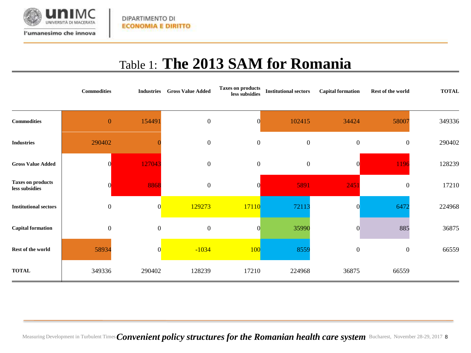

l'umanesimo che innova

DIPARTIMENTO DI **ECONOMIA E DIRITTO** 

Table 1: **The 2013 SAM for Romania**

|                                            | <b>Commodities</b> | <b>Industries</b> | <b>Gross Value Added</b> | Taxes on products<br>less subsidies | <b>Institutional sectors</b> | <b>Capital formation</b> | Rest of the world | <b>TOTAL</b> |
|--------------------------------------------|--------------------|-------------------|--------------------------|-------------------------------------|------------------------------|--------------------------|-------------------|--------------|
| <b>Commodities</b>                         | $\boldsymbol{0}$   | 154491            | $\mathbf{0}$             | ∩                                   | 102415                       | 34424                    | 58007             | 349336       |
| <b>Industries</b>                          | 290402             |                   | $\mathbf{0}$             | $\overline{0}$                      | $\boldsymbol{0}$             | $\boldsymbol{0}$         | $\overline{0}$    | 290402       |
| <b>Gross Value Added</b>                   | $\Omega$           | 127043            | $\mathbf{0}$             | $\overline{0}$                      | $\boldsymbol{0}$             | $\Omega$                 | 1196              | 128239       |
| <b>Taxes on products</b><br>less subsidies | $\overline{0}$     | 8868              | $\mathbf{0}$             |                                     | 5891                         | 2451                     | $\overline{0}$    | 17210        |
| <b>Institutional sectors</b>               | $\boldsymbol{0}$   | $\overline{0}$    | 129273                   | 17110                               | 72113                        | $\Omega$                 | 6472              | 224968       |
| <b>Capital formation</b>                   | $\boldsymbol{0}$   | $\boldsymbol{0}$  | $\mathbf{0}$             | $\overline{0}$                      | 35990                        | $\Omega$                 | 885               | 36875        |
| Rest of the world                          | 58934              | $\overline{0}$    | $-1034$                  | <b>100</b>                          | 8559                         | $\boldsymbol{0}$         | $\boldsymbol{0}$  | 66559        |
| <b>TOTAL</b>                               | 349336             | 290402            | 128239                   | 17210                               | 224968                       | 36875                    | 66559             |              |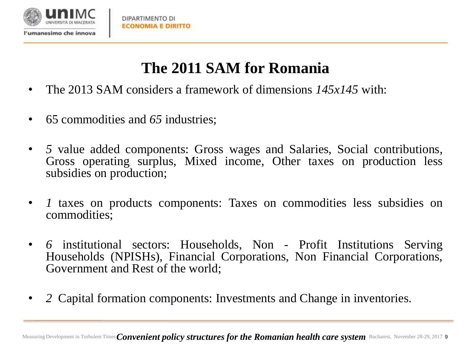

## **The 2011 SAM for Romania**

- The 2013 SAM considers a framework of dimensions *145x145* with:
- 65 commodities and *65* industries;
- *5* value added components: Gross wages and Salaries, Social contributions, Gross operating surplus, Mixed income, Other taxes on production less subsidies on production;
- *1* taxes on products components: Taxes on commodities less subsidies on commodities;
- *6* institutional sectors: Households, Non Profit Institutions Serving Households (NPISHs), Financial Corporations, Non Financial Corporations, Government and Rest of the world;
- *2* Capital formation components: Investments and Change in inventories.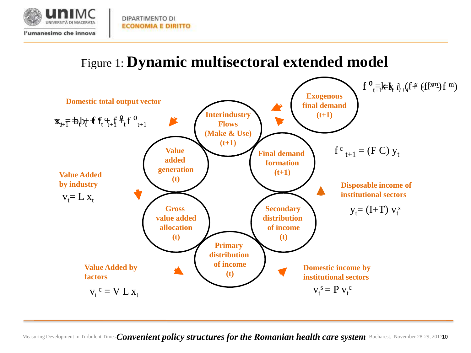

DIPARTIMENTO DI **ECONOMIA E DIRITTO** 

l'umanesimo che innova

### Figure 1: **Dynamic multisectoral extended model**

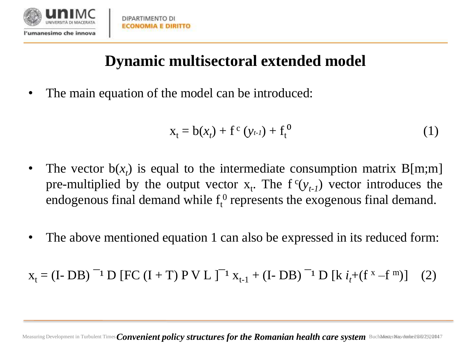

## **Dynamic multisectoral extended model**

• The main equation of the model can be introduced:

$$
x_{t} = b(x_{t}) + f^{c}(y_{t-1}) + f^{0}_{t}
$$
 (1)

- The vector  $b(x_t)$  is equal to the intermediate consumption matrix  $B[m;m]$ pre-multiplied by the output vector  $x_t$ . The  $f^c(y_{t-1})$  vector introduces the endogenous final demand while  $f_t^0$  represents the exogenous final demand.
- The above mentioned equation 1 can also be expressed in its reduced form:

 $x_t = (I - DB)^{-1} D [FC (I + T) PV L ]^{-1} x_{t-1} + (I - DB)^{-1} D [k i_t + (f^x - f^m)]$  (2)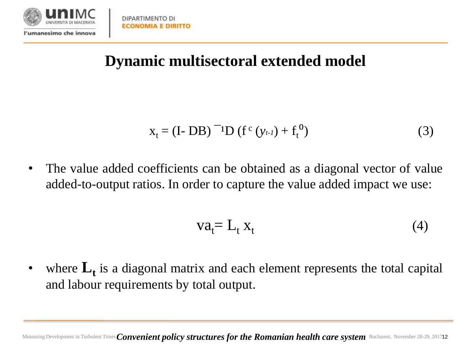

DIPARTIMENTO DI **ECONOMIA E DIRITTO** 

## **Dynamic multisectoral extended model**

$$
x_{t} = (I - DB)^{-1}D (f^{c}(y_{t-1}) + f_{t}^{0})
$$
 (3)

• The value added coefficients can be obtained as a diagonal vector of value added-to-output ratios. In order to capture the value added impact we use:

$$
va_t = L_t x_t \tag{4}
$$

• where  $L_t$  is a diagonal matrix and each element represents the total capital and labour requirements by total output.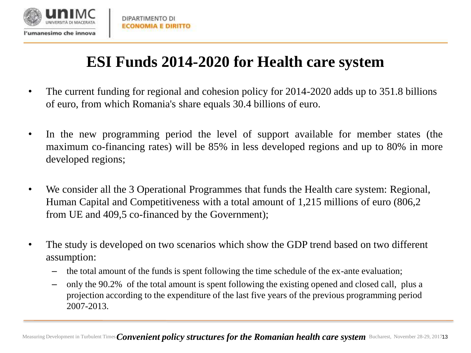

## **ESI Funds 2014-2020 for Health care system**

- The current funding for regional and cohesion policy for 2014-2020 adds up to 351.8 billions of euro, from which Romania's share equals 30.4 billions of euro.
- In the new programming period the level of support available for member states (the maximum co-financing rates) will be 85% in less developed regions and up to 80% in more developed regions;
- We consider all the 3 Operational Programmes that funds the Health care system: Regional, Human Capital and Competitiveness with a total amount of 1,215 millions of euro (806,2 from UE and 409,5 co-financed by the Government);
- The study is developed on two scenarios which show the GDP trend based on two different assumption:
	- the total amount of the funds is spent following the time schedule of the ex-ante evaluation;
	- only the 90.2% of the total amount is spent following the existing opened and closed call, plus a projection according to the expenditure of the last five years of the previous programming period 2007-2013.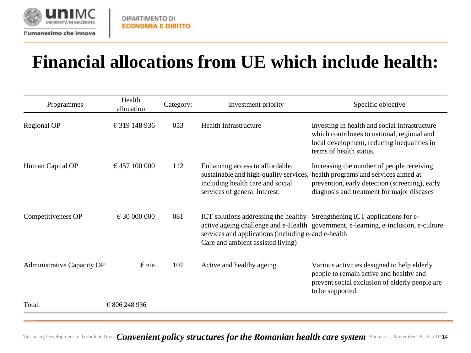

## **Financial allocations from UE which include health:**

| Programmes                        | Health<br>allocation  | Category: | Investment priority                                                                                                                            | Specific objective                                                                                                                                                                 |
|-----------------------------------|-----------------------|-----------|------------------------------------------------------------------------------------------------------------------------------------------------|------------------------------------------------------------------------------------------------------------------------------------------------------------------------------------|
| Regional OP                       | € 319 148 936         | 053       | <b>Health Infrastructure</b>                                                                                                                   | Investing in health and social infrastructure<br>which contributes to national, regional and<br>local development, reducing inequalities in<br>terms of health status.             |
| Human Capital OP                  | € 457 100 000         | 112       | Enhancing access to affordable,<br>sustainable and high-quality services,<br>including health care and social<br>services of general interest. | Increasing the number of people receiving<br>health programs and services aimed at<br>prevention, early detection (screening), early<br>diagnosis and treatment for major diseases |
| Competitiveness OP                | $\epsilon$ 30 000 000 | 081       | services and applications (including e-and e-health<br>Care and ambient assisted living)                                                       | ICT solutions addressing the healthy Strengthening ICT applications for e-<br>active ageing challenge and e-Health government, e-learning, e-inclusion, e-culture                  |
| <b>Administrative Capacity OP</b> | $\epsilon$ n/a        | 107       | Active and healthy ageing                                                                                                                      | Various activities designed to help elderly<br>people to remain active and healthy and<br>prevent social exclusion of elderly people are<br>to be supported.                       |
| Total:                            | € 806 248 936         |           |                                                                                                                                                |                                                                                                                                                                                    |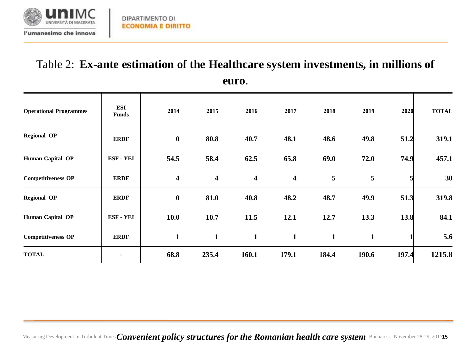

## Table 2: **Ex-ante estimation of the Healthcare system investments, in millions of**

| <b>Operational Programmes</b> | ESI<br><b>Funds</b> | 2014             | 2015             | 2016                    | 2017                    | 2018         | 2019         | 2020  | <b>TOTAL</b> |
|-------------------------------|---------------------|------------------|------------------|-------------------------|-------------------------|--------------|--------------|-------|--------------|
| <b>Regional OP</b>            | <b>ERDF</b>         | $\bf{0}$         | 80.8             | 40.7                    | 48.1                    | 48.6         | 49.8         | 51.2  | 319.1        |
| Human Capital OP              | ESF-YEI             | 54.5             | 58.4             | 62.5                    | 65.8                    | 69.0         | 72.0         | 74.9  | 457.1        |
| <b>Competitiveness OP</b>     | <b>ERDF</b>         | $\boldsymbol{4}$ | $\boldsymbol{4}$ | $\overline{\mathbf{4}}$ | $\overline{\mathbf{4}}$ | 5            | 5            |       | 30           |
| <b>Regional OP</b>            | <b>ERDF</b>         | $\bf{0}$         | 81.0             | 40.8                    | 48.2                    | 48.7         | 49.9         | 51.3  | 319.8        |
| Human Capital OP              | ESF-YEI             | 10.0             | 10.7             | 11.5                    | 12.1                    | 12.7         | 13.3         | 13.8  | 84.1         |
| <b>Competitiveness OP</b>     | <b>ERDF</b>         | $\mathbf{1}$     | $\mathbf{1}$     | $\mathbf{1}$            | $\mathbf{1}$            | $\mathbf{1}$ | $\mathbf{1}$ |       | 5.6          |
| <b>TOTAL</b>                  |                     | 68.8             | 235.4            | 160.1                   | 179.1                   | 184.4        | 190.6        | 197.4 | 1215.8       |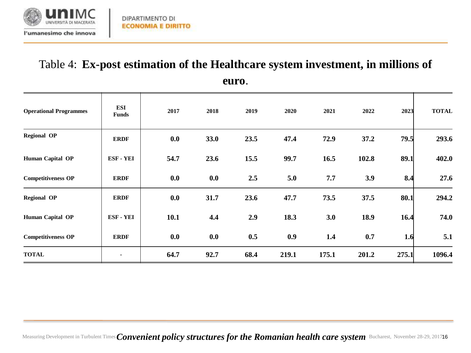

## Table 4: **Ex-post estimation of the Healthcare system investment, in millions of**

**euro**.

| <b>Operational Programmes</b> | <b>ESI</b><br><b>Funds</b> | 2017 | 2018 | 2019 | 2020  | 2021  | 2022  | 2023  | <b>TOTAL</b> |
|-------------------------------|----------------------------|------|------|------|-------|-------|-------|-------|--------------|
| <b>Regional OP</b>            | <b>ERDF</b>                | 0.0  | 33.0 | 23.5 | 47.4  | 72.9  | 37.2  | 79.5  | 293.6        |
| Human Capital OP              | ESF-YEI                    | 54.7 | 23.6 | 15.5 | 99.7  | 16.5  | 102.8 | 89.1  | 402.0        |
| <b>Competitiveness OP</b>     | <b>ERDF</b>                | 0.0  | 0.0  | 2.5  | 5.0   | 7.7   | 3.9   | 8.4   | 27.6         |
| <b>Regional OP</b>            | <b>ERDF</b>                | 0.0  | 31.7 | 23.6 | 47.7  | 73.5  | 37.5  | 80.1  | 294.2        |
| Human Capital OP              | ESF-YEI                    | 10.1 | 4.4  | 2.9  | 18.3  | 3.0   | 18.9  | 16.4  | 74.0         |
| <b>Competitiveness OP</b>     | <b>ERDF</b>                | 0.0  | 0.0  | 0.5  | 0.9   | 1.4   | 0.7   | 1.6   | 5.1          |
| <b>TOTAL</b>                  |                            | 64.7 | 92.7 | 68.4 | 219.1 | 175.1 | 201.2 | 275.1 | 1096.4       |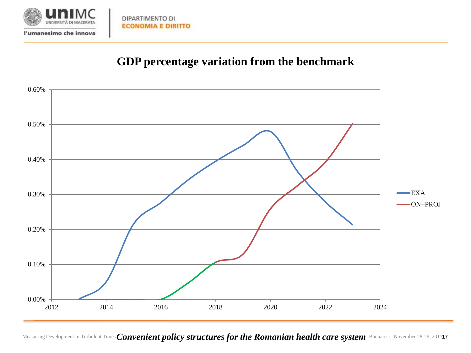

DIPARTIMENTO DI

#### **GDP percentage variation from the benchmark**

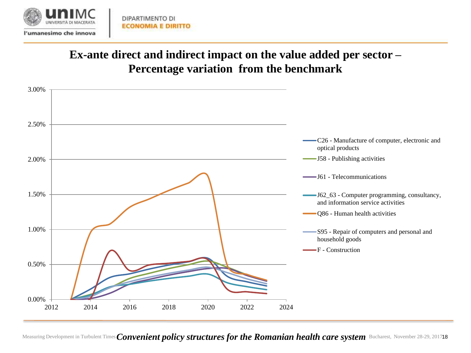

#### **Ex-ante direct and indirect impact on the value added per sector – Percentage variation from the benchmark**

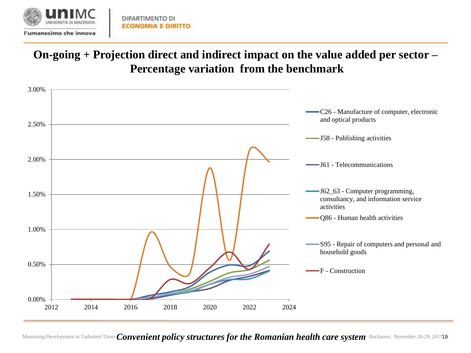

#### **On-going + Projection direct and indirect impact on the value added per sector – Percentage variation from the benchmark**

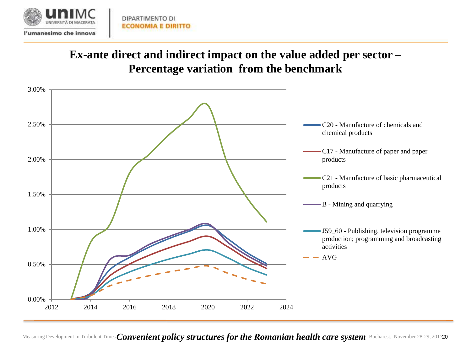

#### **Ex-ante direct and indirect impact on the value added per sector – Percentage variation from the benchmark**

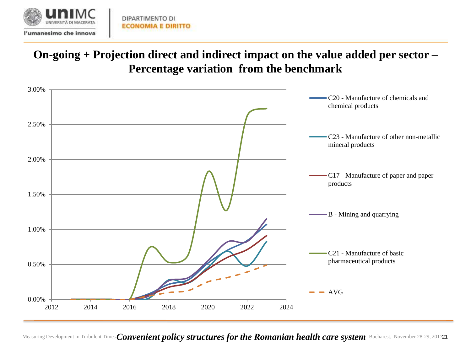

#### **On-going + Projection direct and indirect impact on the value added per sector – Percentage variation from the benchmark**

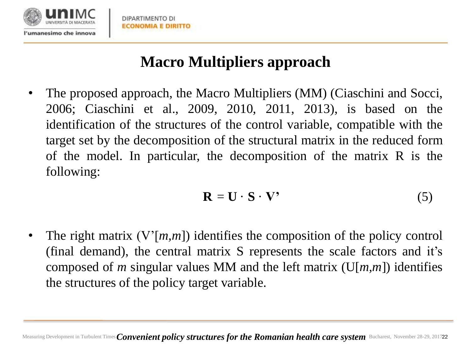

## **Macro Multipliers approach**

• The proposed approach, the Macro Multipliers (MM) (Ciaschini and Socci, 2006; Ciaschini et al., 2009, 2010, 2011, 2013), is based on the identification of the structures of the control variable, compatible with the target set by the decomposition of the structural matrix in the reduced form of the model. In particular, the decomposition of the matrix R is the following:

$$
\mathbf{R} = \mathbf{U} \cdot \mathbf{S} \cdot \mathbf{V'} \tag{5}
$$

• The right matrix  $(V[m,m])$  identifies the composition of the policy control (final demand), the central matrix S represents the scale factors and it's composed of *m* singular values MM and the left matrix (U[*m,m*]) identifies the structures of the policy target variable.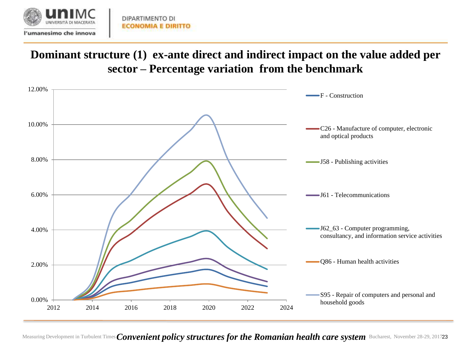

#### **Dominant structure (1) ex-ante direct and indirect impact on the value added per sector – Percentage variation from the benchmark**

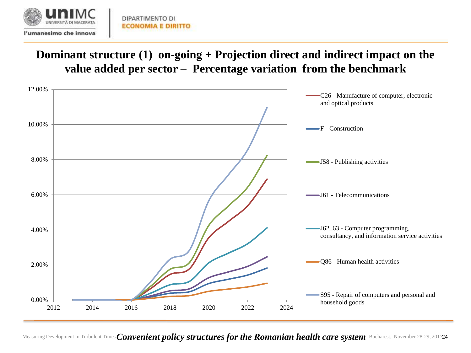

#### **Dominant structure (1) on-going + Projection direct and indirect impact on the value added per sector – Percentage variation from the benchmark**

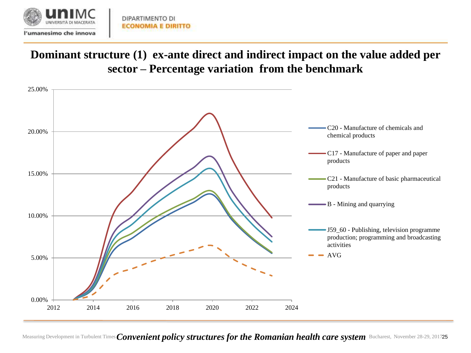

#### **Dominant structure (1) ex-ante direct and indirect impact on the value added per sector – Percentage variation from the benchmark**

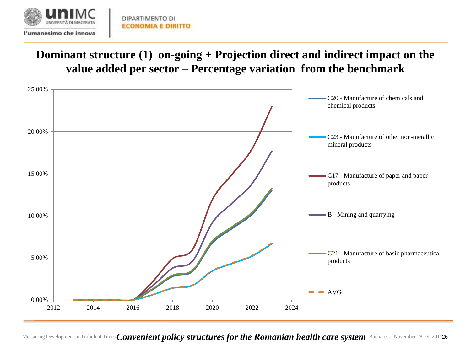

#### **Dominant structure (1) on-going + Projection direct and indirect impact on the value added per sector – Percentage variation from the benchmark**

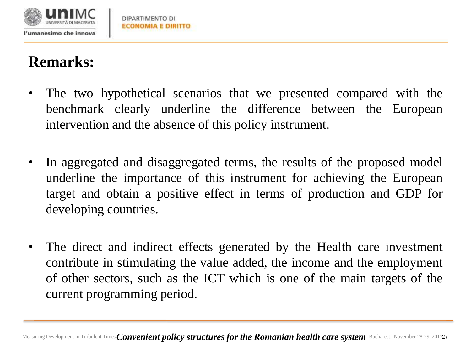

## **Remarks:**

- The two hypothetical scenarios that we presented compared with the benchmark clearly underline the difference between the European intervention and the absence of this policy instrument.
- In aggregated and disaggregated terms, the results of the proposed model underline the importance of this instrument for achieving the European target and obtain a positive effect in terms of production and GDP for developing countries.
- The direct and indirect effects generated by the Health care investment contribute in stimulating the value added, the income and the employment of other sectors, such as the ICT which is one of the main targets of the current programming period.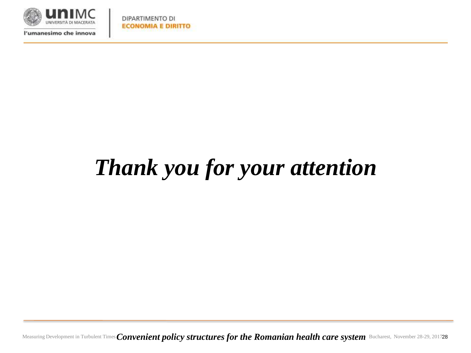

l'umanesimo che innova

# *Thank you for your attention*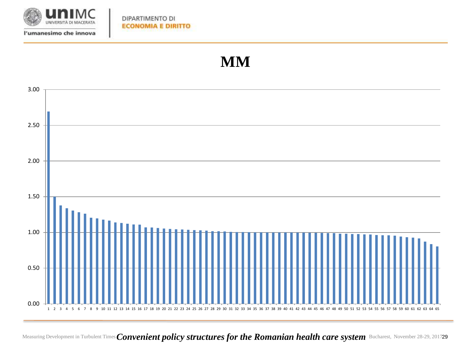

DIPARTIMENTO DI **ECONOMIA E DIRITTO** 

### **MM**

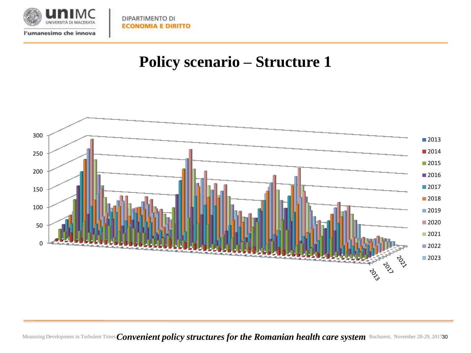

DIPARTIMENTO DI **ECONOMIA E DIRITTO** 

### **Policy scenario – Structure 1**

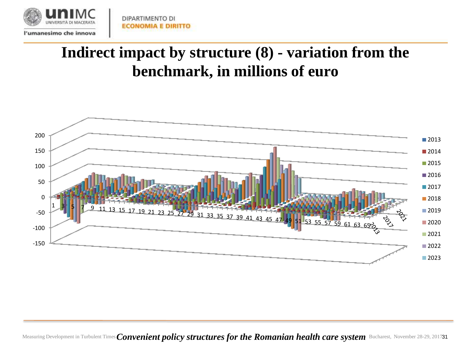

## **Indirect impact by structure (8) - variation from the benchmark, in millions of euro**

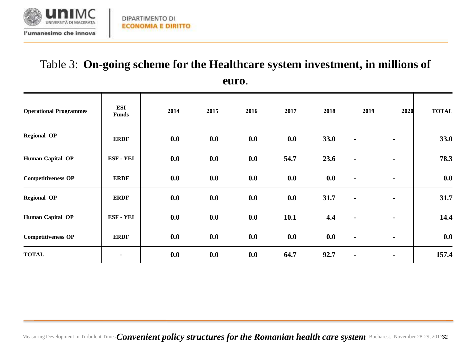

## Table 3: **On-going scheme for the Healthcare system investment, in millions of**

| eur<br>O) |  |
|-----------|--|
|           |  |

| <b>Operational Programmes</b> | ESI<br><b>Funds</b> | 2014 | 2015 | 2016 | 2017 | 2018 | 2019           | 2020           | <b>TOTAL</b> |
|-------------------------------|---------------------|------|------|------|------|------|----------------|----------------|--------------|
| <b>Regional OP</b>            | <b>ERDF</b>         | 0.0  | 0.0  | 0.0  | 0.0  | 33.0 | $\blacksquare$ | $\blacksquare$ | 33.0         |
| Human Capital OP              | ESF-YEI             | 0.0  | 0.0  | 0.0  | 54.7 | 23.6 | ٠              | $\blacksquare$ | 78.3         |
| <b>Competitiveness OP</b>     | <b>ERDF</b>         | 0.0  | 0.0  | 0.0  | 0.0  | 0.0  | $\blacksquare$ | $\blacksquare$ | 0.0          |
| <b>Regional OP</b>            | <b>ERDF</b>         | 0.0  | 0.0  | 0.0  | 0.0  | 31.7 | $\blacksquare$ | $\blacksquare$ | 31.7         |
| Human Capital OP              | ESF - YEI           | 0.0  | 0.0  | 0.0  | 10.1 | 4.4  | ٠              | $\blacksquare$ | 14.4         |
| <b>Competitiveness OP</b>     | <b>ERDF</b>         | 0.0  | 0.0  | 0.0  | 0.0  | 0.0  | $\blacksquare$ | $\blacksquare$ | 0.0          |
| <b>TOTAL</b>                  | ۰                   | 0.0  | 0.0  | 0.0  | 64.7 | 92.7 | $\blacksquare$ | ۰              | 157.4        |